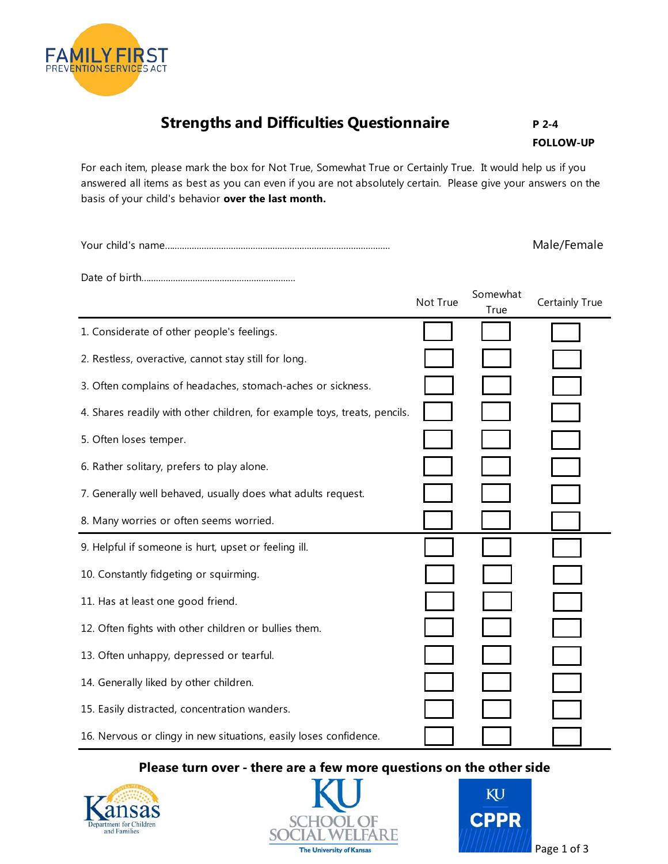## **Strengths and Difficulties Questionnaire** P 2-4

**FOLLOW-UP** 

For each item, please mark the box for Not True, Somewhat True or Certainly True. It would help us if you answered all items as best as you can even if you are not absolutely certain. Please give your answers on the basis of your child's behavior **over the last month.** 

Your child's name…......................................................................................... Male/Female

**FAMILY FIRST** PREVENTION SERVICES ACT

Date of birth…............................................................

|                                                                           | Not True | Somewhat<br>True | Certainly True |
|---------------------------------------------------------------------------|----------|------------------|----------------|
| 1. Considerate of other people's feelings.                                |          |                  |                |
| 2. Restless, overactive, cannot stay still for long.                      |          |                  |                |
| 3. Often complains of headaches, stomach-aches or sickness.               |          |                  |                |
| 4. Shares readily with other children, for example toys, treats, pencils. |          |                  |                |
| 5. Often loses temper.                                                    |          |                  |                |
| 6. Rather solitary, prefers to play alone.                                |          |                  |                |
| 7. Generally well behaved, usually does what adults request.              |          |                  |                |
| 8. Many worries or often seems worried.                                   |          |                  |                |
| 9. Helpful if someone is hurt, upset or feeling ill.                      |          |                  |                |
| 10. Constantly fidgeting or squirming.                                    |          |                  |                |
| 11. Has at least one good friend.                                         |          |                  |                |
| 12. Often fights with other children or bullies them.                     |          |                  |                |
| 13. Often unhappy, depressed or tearful.                                  |          |                  |                |
| 14. Generally liked by other children.                                    |          |                  |                |
| 15. Easily distracted, concentration wanders.                             |          |                  |                |
| 16. Nervous or clingy in new situations, easily loses confidence.         |          |                  |                |

## **Please turn over - there are a few more questions on the other side**





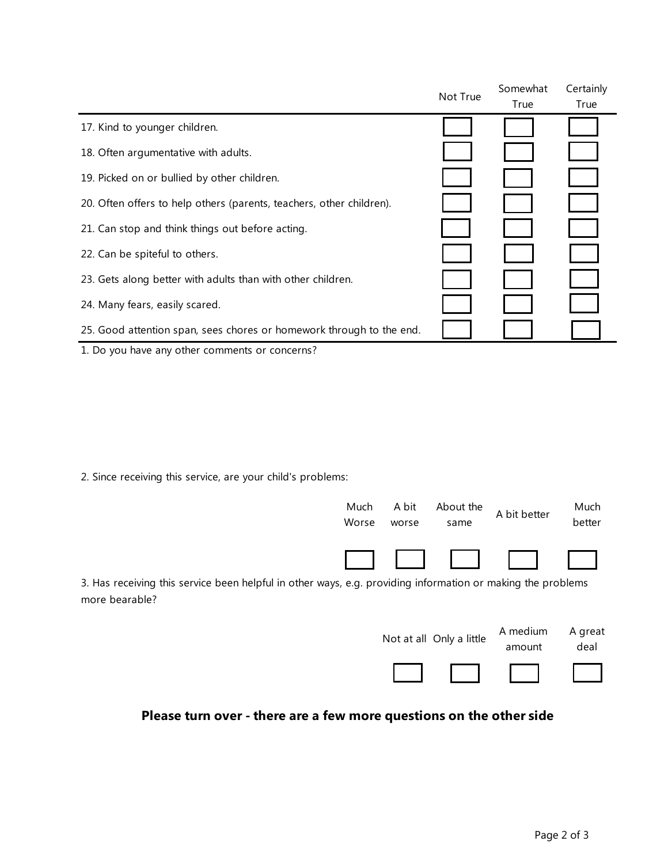|                                                                      | Not True | Somewhat | Certainly |
|----------------------------------------------------------------------|----------|----------|-----------|
|                                                                      |          | True     | True      |
| 17. Kind to younger children.                                        |          |          |           |
| 18. Often argumentative with adults.                                 |          |          |           |
| 19. Picked on or bullied by other children.                          |          |          |           |
| 20. Often offers to help others (parents, teachers, other children). |          |          |           |
| 21. Can stop and think things out before acting.                     |          |          |           |
| 22. Can be spiteful to others.                                       |          |          |           |
| 23. Gets along better with adults than with other children.          |          |          |           |
| 24. Many fears, easily scared.                                       |          |          |           |
| 25. Good attention span, sees chores or homework through to the end. |          |          |           |
| 1. Do you have any other comments or concerns?                       |          |          |           |

2. Since receiving this service, are your child's problems:



3. Has receiving this service been helpful in other ways, e.g. providing information or making the problems more bearable?

| Not at all Only a little | A medium<br>amount | A great<br>deal |
|--------------------------|--------------------|-----------------|
|                          |                    |                 |

## **Please turn over - there are a few more questions on the other side**